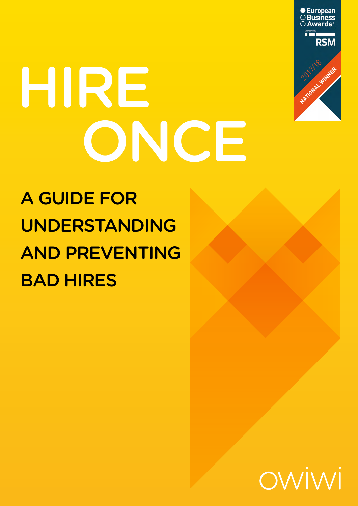

# HIRE ONCE

# A GUIDE FOR UNDERSTANDING AND PREVENTING BAD HIRES

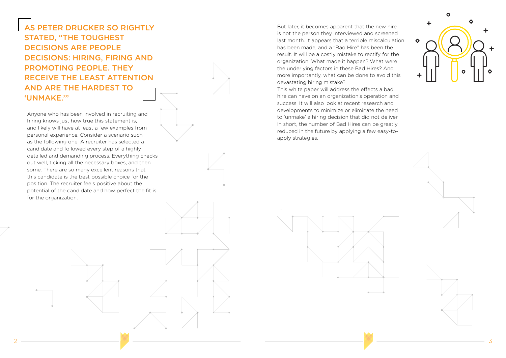AS PETER DRUCKER SO RIGHTLY STATED, "THE TOUGHEST DECISIONS ARE PEOPLE DECISIONS: HIRING, FIRING AND PROMOTING PEOPLE. THEY RECEIVE THE LEAST ATTENTION AND ARE THE HARDEST TO 'UNMAKE.'"

Anyone who has been involved in recruiting and hiring knows just how true this statement is, and likely will have at least a few examples from personal experience. Consider a scenario such as the following one. A recruiter has selected a candidate and followed every step of a highly detailed and demanding process. Everything checks out well, ticking all the necessary boxes, and then some. There are so many excellent reasons that this candidate is the best possible choice for the position. The recruiter feels positive about the potential of the candidate and how perfect the fit is for the organization.

But later, it becomes apparent that the new hire is not the person they interviewed and screened last month. It appears that a terrible miscalculation has been made, and a "Bad Hire" has been the result. It will be a costly mistake to rectify for the organization. What made it happen? What were the underlying factors in these Bad Hires? And more importantly, what can be done to avoid this devastating hiring mistake?

This white paper will address the effects a bad hire can have on an organization's operation and success. It will also look at recent research and developments to minimize or eliminate the need to 'unmake' a hiring decision that did not deliver. In short, the number of Bad Hires can be greatly reduced in the future by applying a few easy-toapply strategies.







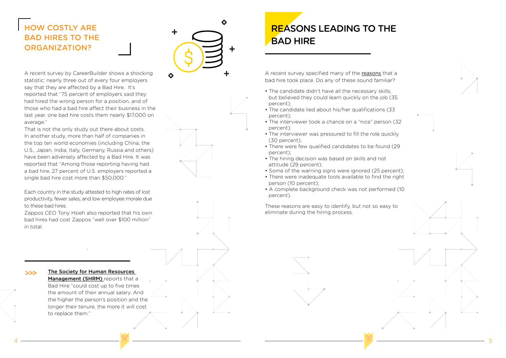4

## HOW COSTLY ARE BAD HIRES TO THE ORGANIZATION?



A recent survey by CareerBuilder shows a shocking statistic: nearly three out of every four employers say that they are affected by a Bad Hire. It's reported that "75 percent of employers said they had hired the wrong person for a position, and of those who had a bad hire affect their business in the last year, one bad hire costs them nearly \$17,000 on average."

That is not the only study out there about costs. In another study, more than half of companies in the top ten world economies (including China, the U.S., Japan, India, Italy, Germany, Russia and others) have been adversely affected by a Bad Hire. It was reported that "Among those reporting having had a bad hire, 27 percent of U.S. employers reported a single bad hire cost more than \$50,000."

Each country in the study attested to high rates of lost productivity, fewer sales, and low employee morale due to these bad hires.

Zappos CEO Tony Hsieh also reported that his own bad hires had cost Zappos "well over \$100 million" in total.

## **REASONS LEADING TO THE** BAD HIRE

A recent survey specified many of the reasons that a bad hire took place. Do any of these sound familiar?

- The candidate didn't have all the necessary skills, but believed they could learn quickly on the job (35 percent);
- The candidate lied about his/her qualifications (33 percent);
- The interviewer took a chance on a "nice" person (32 percent);
- The interviewer was pressured to fill the role quickly (30 percent);
- There were few qualified candidates to be found (29 percent);
- The hiring decision was based on skills and not attitude (29 percent);
- Some of the warning signs were ignored (25 percent);
- There were inadequate tools available to find the right person (10 percent);
- A complete background check was not performed (10 percent).

These reasons are easy to identify, but not so easy to eliminate during the hiring process.



The Society for Human Resources Management (SHRM) reports that a Bad Hire "could cost up to five times the amount of their annual salary. And the higher the person's position and the longer their tenure, the more it will cost to replace them."

>>>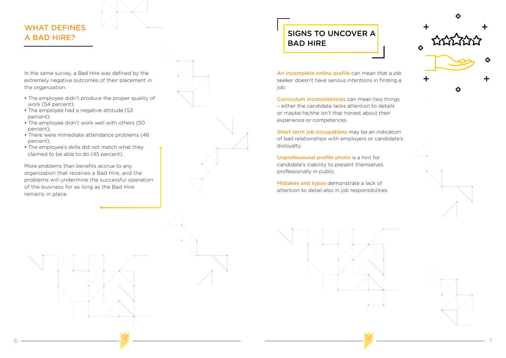## WHAT DEFINES A BAD HIRE?

In the same survey, a Bad Hire was defined by the extremely negative outcomes of their placement in the organization:

- The employee didn't produce the proper quality of work (54 percent);
- The employee had a negative attitude (53 percent);
- The employee didn't work well with others (50 percent);
- There were immediate attendance problems (46 percent);
- The employee's skills did not match what they claimed to be able to do (45 percent).

More problems than benefits accrue to any organization that receives a Bad Hire, and the problems will undermine the successful operation of the business for as long as the Bad Hire remains in place.



job.

experience or competences.



disloyalty.

Unprofessional profile photo is a hint for candidate's inability to present themselves professionally in public.

Mistakes and typos demonstrate a lack of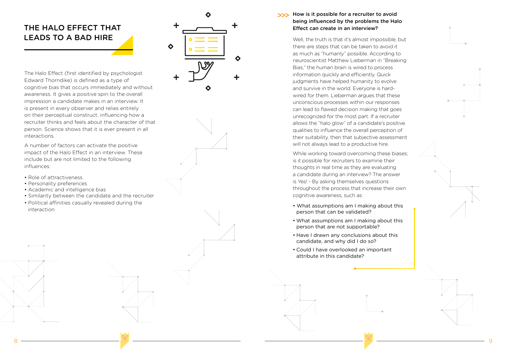9

## THE HALO EFFECT THAT LEADS TO A BAD HIRE



The Halo Effect (first identified by psychologist Edward Thorndike) is defined as a type of cognitive bias that occurs immediately and without awareness. It gives a positive spin to the overall impression a candidate makes in an interview. It is present in every observer and relies entirely on their perceptual construct, influencing how a recruiter thinks and feels about the character of that person. Science shows that it is ever present in all interactions.

## >>> How is it possible for a recruiter to avoid being influenced by the problems the Halo Effect can create in an interview?

A number of factors can activate the positive impact of the Halo Effect in an interview. These include but are not limited to the following influences:

- Role of attractiveness
- Personality preferences
- Academic and intelligence bias
- Similarity between the candidate and the recruiter
- Political affinities casually revealed during the interaction

• What assumptions am I making about this person that can be validated? • What assumptions am I making about this person that are not supportable? • Have I drawn any conclusions about this candidate, and why did I do so? • Could I have overlooked an important attribute in this candidate?

Well, the truth is that it's almost impossible, but there are steps that can be taken to avoid it as much as "humanly" possible. According to neuroscientist Matthew Lieberman in "Breaking Bias," the human brain is wired to process information quickly and efficiently. Quick judgments have helped humanity to evolve and survive in the world. Everyone is hardwired for them. Lieberman argues that these unconscious processes within our responses can lead to flawed decision making that goes unrecognized for the most part. If a recruiter allows the "halo glow" of a candidate's positive qualities to influence the overall perception of their suitability, then that subjective assessment will not always lead to a productive hire. While working toward overcoming these biases; is it possible for recruiters to examine their thoughts in real time as they are evaluating a candidate during an interview? The answer is Yes! - By asking themselves questions throughout the process that increase their own cognitive awareness, such as:

- 
- 
- 
-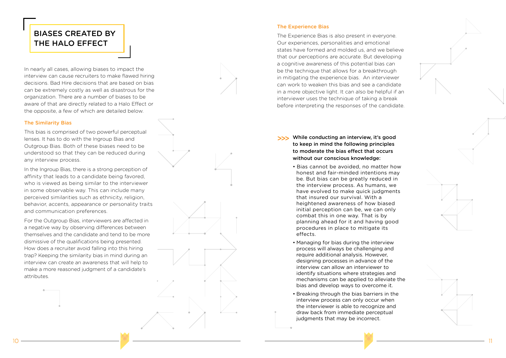



In nearly all cases, allowing biases to impact the interview can cause recruiters to make flawed hiring decisions. Bad Hire decisions that are based on bias can be extremely costly as well as disastrous for the organization. There are a number of biases to be aware of that are directly related to a Halo Effect or the opposite, a few of which are detailed below.

### The Similarity Bias

This bias is comprised of two powerful perceptual lenses. It has to do with the Ingroup Bias and Outgroup Bias. Both of these biases need to be understood so that they can be reduced during any interview process.

In the Ingroup Bias, there is a strong perception of affinity that leads to a candidate being favored, who is viewed as being similar to the interviewer in some observable way. This can include many perceived similarities such as ethnicity, religion, behavior, accents, appearance or personality traits and communication preferences.

For the Outgroup Bias, interviewers are affected in a negative way by observing differences between themselves and the candidate and tend to be more dismissive of the qualifications being presented. How does a recruiter avoid falling into this hiring trap? Keeping the similarity bias in mind during an interview can create an awareness that will help to make a more reasoned judgment of a candidate's attributes.

#### The Experience Bias

The Experience Bias is also present in everyone. Our experiences, personalities and emotional states have formed and molded us, and we believe that our perceptions are accurate. But developing a cognitive awareness of this potential bias can be the technique that allows for a breakthrough in mitigating the experience bias. An interviewer can work to weaken this bias and see a candidate in a more objective light. It can also be helpful if an interviewer uses the technique of taking a break before interpreting the responses of the candidate.

## BIASES CREATED BY THE HALO EFFECT

- >>> While conducting an interview, it's good to keep in mind the following principles to moderate the bias effect that occurs without our conscious knowledge:
	- Bias cannot be avoided, no matter how honest and fair-minded intentions may be. But bias can be greatly reduced in the interview process. As humans, we have evolved to make quick judgments that insured our survival. With a heightened awareness of how biased initial perception can be, we can only combat this in one way. That is by planning ahead for it and having good procedures in place to mitigate its effects.
	- Managing for bias during the interview process will always be challenging and require additional analysis. However, designing processes in advance of the interview can allow an interviewer to identify situations where strategies and mechanisms can be applied to alleviate the bias and develop ways to overcome it.
	- Breaking through the bias barriers in the interview process can only occur when the interviewer is able to recognize and draw back from immediate perceptual judgments that may be incorrect.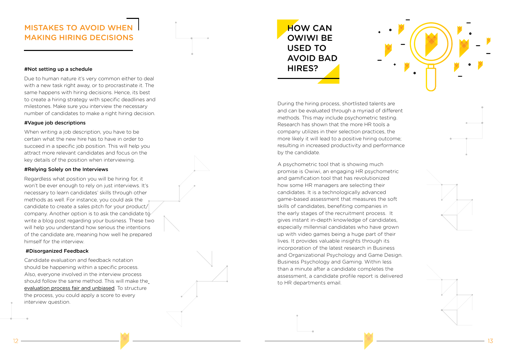## MISTAKES TO AVOID WHEN MAKING HIRING DECISIONS

#### #Not setting up a schedule

Due to human nature it's very common either to deal with a new task right away, or to procrastinate it. The same happens with hiring decisions. Hence, its best to create a hiring strategy with specific deadlines and milestones. Make sure you interview the necessary number of candidates to make a right hiring decision.

### #Vague job descriptions

When writing a job description, you have to be certain what the new hire has to have in order to succeed in a specific job position. This will help you attract more relevant candidates and focus on the key details of the position when interviewing.

#### #Relying Solely on the Interviews

Regardless what position you will be hiring for, it won't be ever enough to rely on just interviews. It's necessary to learn candidates' skills through other methods as well. For instance, you could ask the candidate to create a sales pitch for your product/ company. Another option is to ask the candidate to write a blog post regarding your business. These two will help you understand how serious the intentions of the candidate are, meaning how well he prepared himself for the interview.

### #Disorganized Feedback

Candidate evaluation and feedback notation should be happening within a specific process. Also, everyone involved in the interview process should follow the same method. This will make the evaluation process fair and unbiased. To structure the process, you could apply a score to every interview question.



During the hiring process, shortlisted talents are and can be evaluated through a myriad of different methods. This may include psychometric testing. Research has shown that the more HR tools a company utilizes in their selection practices, the more likely it will lead to a positive hiring outcome; resulting in increased productivity and performance by the candidate.

A psychometric tool that is showing much promise is Owiwi, an engaging HR psychometric and gamification tool that has revolutionized how some HR managers are selecting their candidates. It is a technologically advanced game-based assessment that measures the soft skills of candidates, benefiting companies in the early stages of the recruitment process. It gives instant in-depth knowledge of candidates, especially millennial candidates who have grown up with video games being a huge part of their lives. It provides valuable insights through its incorporation of the latest research in Business and Organizational Psychology and Game Design. Business Psychology and Gaming. Within less than a minute after a candidate completes the assessment, a candidate profile report is delivered to HR departments email.





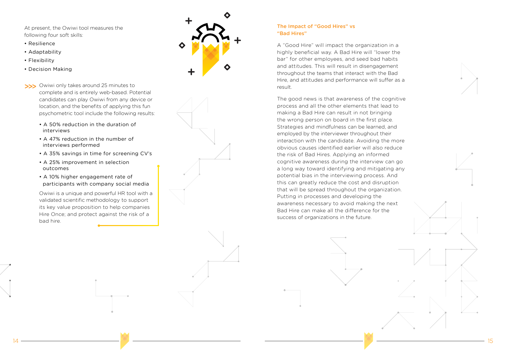At present, the Owiwi tool measures the following four soft skills:

- Resilience
- Adaptability
- Flexibility
- Decision Making
- >>> Owiwi only takes around 25 minutes to complete and is entirely web-based. Potential candidates can play Owiwi from any device or location, and the benefits of applying this fun psychometric tool include the following results:
	- A 50% reduction in the duration of interviews
	- A 47% reduction in the number of interviews performed
	- A 35% savings in time for screening CV's
	- A 25% improvement in selection outcomes
	- A 10% higher engagement rate of participants with company social media

Owiwi is a unique and powerful HR tool with a validated scientific methodology to support its key value proposition to help companies Hire Once; and protect against the risk of a bad hire.



#### The Impact of "Good Hires" vs "Bad Hires"

A "Good Hire" will impact the organization in a highly beneficial way. A Bad Hire will "lower the bar" for other employees, and seed bad habits and attitudes. This will result in disengagement throughout the teams that interact with the Bad Hire, and attitudes and performance will suffer as a result.

The good news is that awareness of the cognitive process and all the other elements that lead to making a Bad Hire can result in not bringing the wrong person on board in the first place. Strategies and mindfulness can be learned, and employed by the interviewer throughout their interaction with the candidate. Avoiding the more obvious causes identified earlier will also reduce the risk of Bad Hires. Applying an informed cognitive awareness during the interview can go a long way toward identifying and mitigating any potential bias in the interviewing process. And this can greatly reduce the cost and disruption that will be spread throughout the organization. Putting in processes and developing the awareness necessary to avoid making the next Bad Hire can make all the difference for the success of organizations in the future.



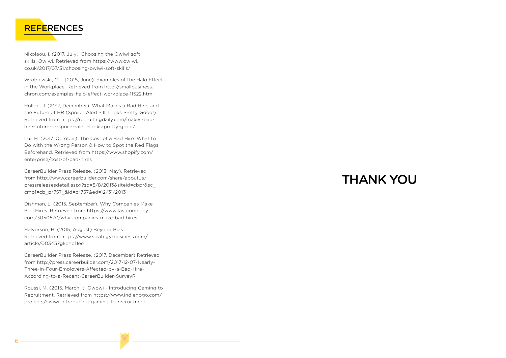



Nikolaou, I. (2017, July). Choosing the Owiwi soft skills. Owiwi. Retrieved from https://www.owiwi. co.uk/2017/07/31/choosing-owiwi-soft-skills/

Wroblewski, M.T. (2018, June). Examples of the Halo Effect in the Workplace. Retrieved from http://smallbusiness. chron.com/examples-halo-effect-workplace-11522.html

Hollon, J. (2017, December). What Makes a Bad Hire, and the Future of HR (Spoiler Alert - It Looks Pretty Good!). Retrieved from https://recruitingdaily.com/makes-badhire-future-hr-spoiler-alert-looks-pretty-good/

Lui, H. (2017, October). The Cost of a Bad Hire: What to Do with the Wrong Person & How to Spot the Red Flags Beforehand. Retrieved from https://www.shopify.com/ enterprise/cost-of-bad-hires

CareerBuilder Press Release. (2013, May). Retrieved from http://www.careerbuilder.com/share/aboutus/ pressreleasesdetail.aspx?sd=5/8/2013&siteid=cbpr&sc\_ cmp1=cb\_pr757\_&id=pr757&ed=12/31/2013

Dishman, L. (2015, September). Why Companies Make Bad Hires. Retrieved from https://www.fastcompany. com/3050570/why-companies-make-bad-hires

Halvorson, H. (2015, August) Beyond Bias. Retrieved from https://www.strategy-business.com/ article/00345?gko=d11ee

CareerBuilder Press Release. (2017, December) Retrieved from http://press.careerbuilder.com/2017-12-07-Nearly-Three-in-Four-Employers-Affected-by-a-Bad-Hire-According-to-a-Recent-CareerBuilder-SurveyR

Roussi, M. (2015, March ) Owowi - Introducing Gaming to Recruitment. Retrieved from https://www.indiegogo.com/ projects/owiwi-introducing-gaming-to-recruitment

# THANK YOU